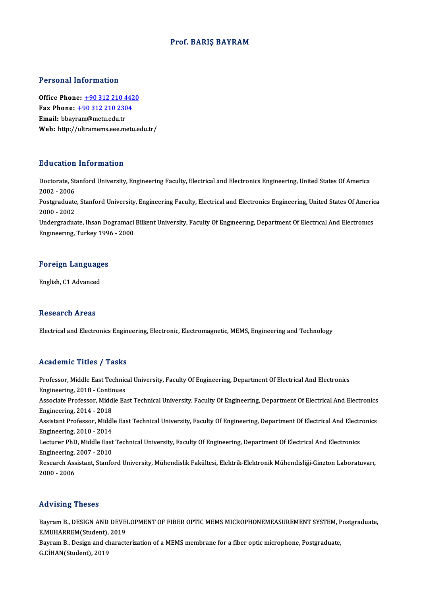### Prof. BARIŞ BAYRAM

### Personal Information

**Personal Information<br>Office Phone: +90 312 210 4420<br>Fax Phone: +90 312 210 2204** Fax Phone: <u>+90 312 210 442</u><br>Fax Phone: <u>+90 312 210 2304</u><br>Fmail: bhayram@maty.edu.tr Office Phone: <u>+90 312 210 4</u><br>Fax Phone: <u>+90 312 210 230</u><br>Email: bbay[ram@metu.edu.tr](tel:+90 312 210 2304) Fax Phone:  $\pm$ 90 312 210 2304<br>Email: bbayram@metu.edu.tr<br>Web: http://ultramems.eee.metu.edu.tr/

#### Education Information

**Education Information**<br>Doctorate, Stanford University, Engineering Faculty, Electrical and Electronics Engineering, United States Of America<br>2002 - 2006 2002<br>Doctorate, St.<br>2002 - 2006<br>Postaraduate Doctorate, Stanford University, Engineering Faculty, Electrical and Electronics Engineering, United States Of America<br>2002 - 2006<br>Postgraduate, Stanford University, Engineering Faculty, Electrical and Electronics Engineeri 2002 - 2006<br>Postgraduate<br>2000 - 2002<br>Undergradua Postgraduate, Stanford University, Engineering Faculty, Electrical and Electronics Engineering, United States Of Americ<br>2000 - 2002<br>Undergraduate, Ihsan Dogramaci Bilkent University, Faculty Of Engineering, Department Of E

2000 - 2002<br>Undergraduate, Ihsan Dogramaci Bilkent University, Faculty Of Engıneerıng, Department Of Electrical And Electronics<br>Engineering, Turkey 1996 - 2000

# <sub>Engmeering, Turkey 1996</sub><br>Foreign Languages <mark>Foreign Languag</mark><br>English, C1 Advanced

English, C1 Advanced<br>Research Areas

Electrical and Electronics Engineering, Electronic, Electromagnetic, MEMS, Engineering and Technology

#### Academic Titles / Tasks

Academic Titles / Tasks<br>Professor, Middle East Technical University, Faculty Of Engineering, Department Of Electrical And Electronics<br>Engineering, 2018, Centinues Professor, Middle East Technic<br>Engineering, 2018 - Continues<br>Assesiste Brofessor, Middle Ea Associate Professor, Middle East Technical University, Faculty Of Engineering, Department Of Electrical And Electronics<br>Engineering, 2014 - 2018 Engineering, 2018 - Continues Associate Professor, Middle East Technical University, Faculty Of Engineering, Department Of Electrical And Electronics<br>Engineering, 2014 - 2018<br>Assistant Professor, Middle East Technical University, Faculty Of Engineering Engineering, 2014 - 2018<br>Assistant Professor, Middl<br>Engineering, 2010 - 2014<br>Lecturer PhD, Middle Fest Assistant Professor, Middle East Technical University, Faculty Of Engineering, Department Of Electrical And Electr<br>Engineering, 2010 - 2014<br>Lecturer PhD, Middle East Technical University, Faculty Of Engineering, Department Engineering, 2010 - 2014<br>Lecturer PhD, Middle East<br>Engineering, 2007 - 2010<br>Besearsh Assistant, Stanfo Lecturer PhD, Middle East Technical University, Faculty Of Engineering, Department Of Electrical And Electronics<br>Engineering, 2007 - 2010<br>Research Assistant, Stanford University, Mühendislik Fakültesi, Elektrik-Elektronik Engineering, 2007 - 2010<br>Research Assistant, Stanford University, Mühendislik Fakültesi, Elektrik-Elektronik Mühendisliği-Ginzton Laboratuvarı,<br>2000 - 2006

#### Advising Theses

Advising Theses<br>Bayram B., DESIGN AND DEVELOPMENT OF FIBER OPTIC MEMS MICROPHONEMEASUREMENT SYSTEM, Postgraduate,<br>E MUHAPPEM(Student), 2019 E.<br>Bayram B., DESIGN AND DEVE.<br>E.MUHARREM(Student), 2019<br>Bayram B. Design and sharests Bayram B., DESIGN AND DEVELOPMENT OF FIBER OPTIC MEMS MICROPHONEMEASUREMENT SYSTEM, P<br>E.MUHARREM(Student), 2019<br>Bayram B., Design and characterization of a MEMS membrane for a fiber optic microphone, Postgraduate,<br>C.CHAN(S E.MUHARREM(Student), 2019<br>Bayram B., Design and characterization of a MEMS membrane for a fiber optic microphone, Postgraduate,<br>G.CİHAN(Student), 2019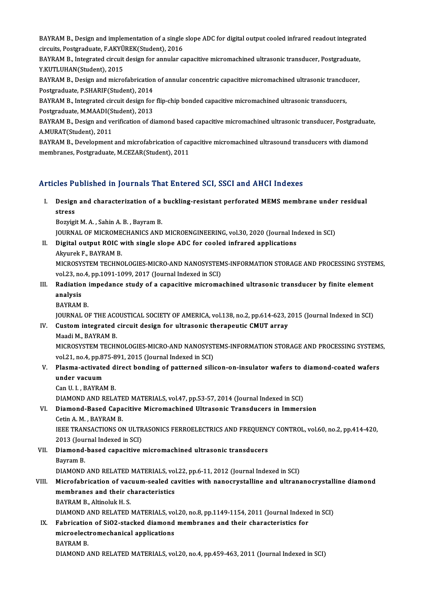BAYRAM B., Design and implementation of a single slope ADC for digital output cooled infrared readout integrated<br>Singuita Bestanaduate F.AKVÜDEK(Student), 2016 BAYRAM B., Design and implementation of a single<br>circuits, Postgraduate, F.AKYÜREK(Student), 2016<br>PAYRAM B. Integrated singuit design for annular  $\alpha$ BAYRAM B., Design and implementation of a single slope ADC for digital output cooled infrared readout integrate<br>circuits, Postgraduate, F.AKYÜREK(Student), 2016<br>BAYRAM B., Integrated circuit design for annular capacitive m

circuits, Postgraduate, F.AKYÜREK(Student), 2016<br>BAYRAM B., Integrated circuit design for annular c<br>Y.KUTLUHAN(Student), 2015 BAYRAM B., Integrated circuit design for annular capacitive micromachined ultrasonic transducer, Postgraduate,<br>Y.KUTLUHAN(Student), 2015<br>BAYRAM B., Design and microfabrication of annular concentric capacitive micromachined

BAYRAM B., Design and microfabrication of annular concentric capacitive micromachined ultrasonic trancducer, <br>Postgraduate, P.SHARIF(Student), 2014 BAYRAM B., Design and microfabrication of annular concentric capacitive micromachined ultrasonic trancdu<br>Postgraduate, P.SHARIF(Student), 2014<br>BAYRAM B., Integrated circuit design for flip-chip bonded capacitive micromachi

Postgraduate, P.SHARIF(Student), 2014<br>BAYRAM B., Integrated circuit design for<br>Postgraduate, M.MAADI(Student), 2013<br>BAYRAM B. Design and verification of di BAYRAM B., Integrated circuit design for flip-chip bonded capacitive micromachined ultrasonic transducers,<br>Postgraduate, M.MAADI(Student), 2013<br>BAYRAM B., Design and verification of diamond based capacitive micromachined u

Postgraduate, M.MAADI(S<br>BAYRAM B., Design and ve<br>A.MURAT(Student), 2011<br>BAYBAM B. Development BAYRAM B., Design and verification of diamond based capacitive micromachined ultrasonic transducer, Postgraduat<br>A.MURAT(Student), 2011<br>BAYRAM B., Development and microfabrication of capacitive micromachined ultrasound tran

A.MURAT(Student), 2011<br>BAYRAM B., Development and microfabrication of capacitive micromachined ultrasound transducers with diamond<br>membranes, Postgraduate, M.CEZAR(Student), 2011

### Articles Published in Journals That Entered SCI, SSCI and AHCI Indexes

rticles Published in Journals That Entered SCI, SSCI and AHCI Indexes<br>I. Design and characterization of a buckling-resistant perforated MEMS membrane under residual<br>Atress stes<br>1<br>Design<br><sup>Romici</sup> **Design and characterization of a<br>stress<br>Bozyigit M. A. , Sahin A. B. , Bayram B.<br>JOUDNAL OF MICROMECHANICS AND** stress<br>Bozyigit M. A. , Sahin A. B. , Bayram B.<br>JOURNAL OF MICROMECHANICS AND MICROENGINEERING, vol.30, 2020 (Journal Indexed in SCI)

**JOURNAL OF MICROME<br>Digital output ROIC v<br>Akyurek F., BAYRAM B.<br>MICROSYSTEM TECHNO** 

Bozyigit M. A. , Sahin A. B. , Bayram B.<br>JOURNAL OF MICROMECHANICS AND MICROENGINEERING, vol.30, 2020 (Journal Incorporation Busingle slope ADC for cooled infrared applications<br>Alanyak E. BAYRAM B

Akyurek F., BAYRAM B.<br>MICROSYSTEM TECHNOLOGIES-MICRO-AND NANOSYSTEMS-INFORMATION STORAGE AND PROCESSING SYSTEMS, Akyurek F., BAYRAM B.<br>MICROSYSTEM TECHNOLOGIES-MICRO-AND NANOSYSTEN<br>vol.23, no.4, pp.1091-1099, 2017 (Journal Indexed in SCI)<br>Badiation impodance study of a sanasitive misroma MICROSYSTEM TECHNOLOGIES-MICRO-AND NANOSYSTEMS-INFORMATION STORAGE AND PROCESSING SYSTE<br>vol.23, no.4, pp.1091-1099, 2017 (Journal Indexed in SCI)<br>III. Radiation impedance study of a capacitive micromachined ultrasonic tran

- vol.23, no<br><mark>Radiatio</mark><br>analysis<br>PAVPAM Radiation<br>analysis<br>BAYRAM B.<br>JOUPNAJ O analysis<br>BAYRAM B.<br>JOURNAL OF THE ACOUSTICAL SOCIETY OF AMERICA, vol.138, no.2, pp.614-623, 2015 (Journal Indexed in SCI)
	-

# BAYRAM B.<br>IOURNAL OF THE ACOUSTICAL SOCIETY OF AMERICA, vol.138, no.2, pp.614-623, 2<br>IV. Custom integrated circuit design for ultrasonic therapeutic CMUT array<br>Maadi M. RAYRAM R **JOURNAL OF THE ACC<br>Custom integrated<br>Maadi M., BAYRAM B.<br>MICDOSYSTEM TECHN**

Custom integrated circuit design for ultrasonic therapeutic CMUT array<br>Maadi M., BAYRAM B.<br>MICROSYSTEM TECHNOLOGIES-MICRO-AND NANOSYSTEMS-INFORMATION STORAGE AND PROCESSING SYSTEMS,<br>vol 21 no 4 nn 875 891 2015 (Journal Ind Maadi M., BAYRAM B.<br>MICROSYSTEM TECHNOLOGIES-MICRO-AND NANOSYST<br>vol.21, no.4, pp.875-891, 2015 (Journal Indexed in SCI)<br>Plasma astivated dinast bonding of nattaunad sili MICROSYSTEM TECHNOLOGIES-MICRO-AND NANOSYSTEMS-INFORMATION STORAGE AND PROCESSING SYSTEM:<br>vol.21, no.4, pp.875-891, 2015 (Journal Indexed in SCI)<br>V. Plasma-activated direct bonding of patterned silicon-on-insulator wafers

## vol.21, no.4, pp.8.<br>Plasma-activate<br>under vacuum<br>Can U.L. BAVPAP Plasma-activated d<br>under vacuum<br>Can U. I. , BAYRAM B.<br>DIAMOND AND BELA under vacuum<br>Can U. I. , BAYRAM B.<br>DIAMOND AND RELATED MATERIALS, vol.47, pp.53-57, 2014 (Journal Indexed in SCI)<br>Diamond Based Canasitive Misromachined Ultrasonia Transducers in Immers

## Can U. I. , BAYRAM B.<br>DIAMOND AND RELATED MATERIALS, vol.47, pp.53-57, 2014 (Journal Indexed in SCI)<br>VI. Diamond-Based Capacitive Micromachined Ultrasonic Transducers in Immersion<br>Cetin A.M., BAYRAM B. DIAMOND AND RELATE<br>Diamond-Based Capa<br>Cetin A. M. , BAYRAM B.<br>IEEE TPANSACTIONS OI Diamond-Based Capacitive Micromachined Ultrasonic Transducers in Immersion<br>Cetin A. M. , BAYRAM B.<br>IEEE TRANSACTIONS ON ULTRASONICS FERROELECTRICS AND FREQUENCY CONTROL, vol.60, no.2, pp.414-420,<br>2012 (Journal Indoved in S

Cetin A. M. , BAYRAM B.<br>IEEE TRANSACTIONS ON ULTR<br>2013 (Journal Indexed in SCI)<br>Diamond based canocitive IEEE TRANSACTIONS ON ULTRASONICS FERROELECTRICS AND FREQUENO<br>2013 (Journal Indexed in SCI)<br>VII. Diamond-based capacitive micromachined ultrasonic transducers<br>Pouram P

# 2013 (Journal Indexed in SCI)<br>VII. Diamond-based capacitive micromachined ultrasonic transducers<br>Bayram B.

DIAMOND AND RELATED MATERIALS, vol.22, pp.6-11, 2012 (Journal Indexed in SCI)

### Bayram B.<br>DIAMOND AND RELATED MATERIALS, vol.22, pp.6-11, 2012 (Journal Indexed in SCI)<br>VIII. Microfabrication of vacuum-sealed cavities with nanocrystalline and ultrananocrystalline diamond<br>mambranes and their share taris DIAMOND AND RELATED MATERIALS, vol<br>Microfabrication of vacuum-sealed ca<br>membranes and their characteristics<br>PAVPAM B. Altinolyk H.S. Microfabrication of vac<br>membranes and their cl<br>BAYRAM B., Altinoluk H. S.<br>DIAMOND AND BELATED. membranes and their characteristics<br>BAYRAM B., Altinoluk H. S.<br>DIAMOND AND RELATED MATERIALS, vol.20, no.8, pp.1149-1154, 2011 (Journal Indexed in SCI)<br>Eshnisation of SiO2 stacked diamond membranes and their sharacteristic

### BAYRAM B., Altinoluk H. S.<br>DIAMOND AND RELATED MATERIALS, vol.20, no.8, pp.1149-1154, 2011 (Journal Indexenty<br>IX. Fabrication of SiO2-stacked diamond membranes and their characteristics for<br>mianoalastromashanisal annisatio DIAMOND AND RELATED MATERIALS, vo<br>Fabrication of SiO2-stacked diamond<br>microelectromechanical applications<br>PAVPAM P Fabricatio<br>microelect<br>BAYRAM B.<br>DIAMOND 4 microelectromechanical applications<br>BAYRAM B.<br>DIAMOND AND RELATED MATERIALS, vol.20, no.4, pp.459-463, 2011 (Journal Indexed in SCI)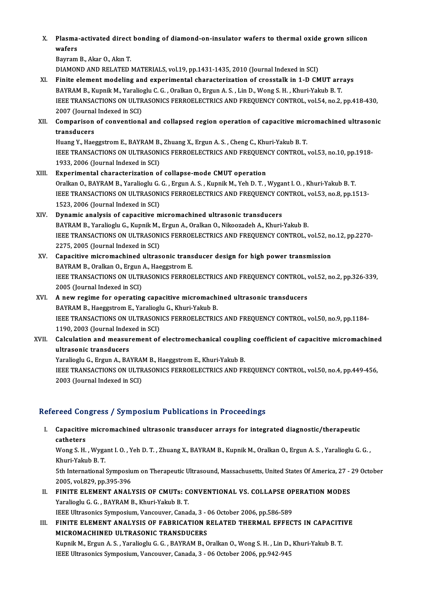X. Plasma-activated direct bonding of diamond-on-insulator wafers to thermal oxide grown silicon Plasma<br>wafers<br><sup>Poumom</sup> Plasma-activated direct<br>wafers<br>Bayram B., Akar O., Akın T.<br>DIAMOND AND BELATED.

wafers<br>Bayram B., Akar O., Akın T.<br>DIAMOND AND RELATED MATERIALS, vol.19, pp.1431-1435, 2010 (Journal Indexed in SCI)

XI. Finite elementmodeling and experimental characterization of crosstalk in 1-D CMUT arrays BAYRAM B., Kupnik M., Yaralioglu C. G., Oralkan O., Ergun A. S., Lin D., Wong S. H., Khuri-Yakub B. T. Finite element modeling and experimental characterization of crosstalk in 1-D CMUT arrays<br>BAYRAM B., Kupnik M., Yaralioglu C. G. , Oralkan O., Ergun A. S. , Lin D., Wong S. H. , Khuri-Yakub B. T.<br>IEEE TRANSACTIONS ON ULTRA BAYRAM B., Kupnik M., Yaralio<br>IEEE TRANSACTIONS ON ULTR<br>2007 (Journal Indexed in SCI)<br>Comnarison of conventions IEEE TRANSACTIONS ON ULTRASONICS FERROELECTRICS AND FREQUENCY CONTROL, vol.54, no.2, pp.418-430,<br>2007 (Journal Indexed in SCI)<br>XII. Comparison of conventional and collapsed region operation of capacitive micromachined ultr

# 2007 (Journal<br>Comparison<br>transducers<br>Huang Y. Hae Comparison of conventional and collapsed region operation of capacitive mic:<br>transducers<br>Huang Y., Haeggstrom E., BAYRAM B., Zhuang X., Ergun A. S. , Cheng C., Khuri-Yakub B. T.<br>JEEE TRANSACTIONS ON ULTRASONICS EERROELECTR

transducers<br>Huang Y., Haeggstrom E., BAYRAM B., Zhuang X., Ergun A. S. , Cheng C., Khuri-Yakub B. T.<br>IEEE TRANSACTIONS ON ULTRASONICS FERROELECTRICS AND FREQUENCY CONTROL, vol.53, no.10, pp.1918-<br>1933, 2006 (Journal Indexe Huang Y., Haeggstrom E., BAYRAM B., Zhuang X., Ergun A. S., Cheng C., Khuri-Yakub B. T.

### XIII. Experimental characterization of collapse-mode CMUT operation OralkanO.,BAYRAMB.,YaraliogluG.G. ,ErgunA.S. ,KupnikM.,YehD.T. ,Wygant I.O. ,Khuri-YakubB.T. Experimental characterization of collapse-mode CMUT operation<br>Oralkan O., BAYRAM B., Yaralioglu G. G. , Ergun A. S. , Kupnik M., Yeh D. T. , Wygant I. O. , Khuri-Yakub B. T<br>IEEE TRANSACTIONS ON ULTRASONICS FERROELECTRICS A Oralkan O., BAYRAM B., Yaralioglu G.<br>IEEE TRANSACTIONS ON ULTRASON<br>1523, 2006 (Journal Indexed in SCI)<br>Dunamia analysis of sanasitive m 1523, 2006 (Journal Indexed in SCI)<br>XIV. Dynamic analysis of capacitive micromachined ultrasonic transducers

### BAYRAM B., Yaralioglu G., Kupnik M., Ergun A., Oralkan O., Nikoozadeh A., Khuri-Yakub B. Dynamic analysis of capacitive micromachined ultrasonic transducers<br>BAYRAM B., Yaralioglu G., Kupnik M., Ergun A., Oralkan O., Nikoozadeh A., Khuri-Yakub B.<br>IEEE TRANSACTIONS ON ULTRASONICS FERROELECTRICS AND FREQUENCY CON BAYRAM B., Yaralioglu G., Kupnik M.,<br>IEEE TRANSACTIONS ON ULTRASON<br>2275, 2005 (Journal Indexed in SCI) IEEE TRANSACTIONS ON ULTRASONICS FERROELECTRICS AND FREQUENCY CONTROL, vol.52, no<br>2275, 2005 (Journal Indexed in SCI)<br>XV. Capacitive micromachined ultrasonic transducer design for high power transmission<br>RAYBAM B. Orallian

### 2275, 2005 (Journal Indexed in SCI)<br>Capacitive micromachined ultrasonic trans<br>BAYRAM B., Oralkan O., Ergun A., Haeggstrom E.<br>JEEE TRANSACTIONS ON ULTRASONICS EERROP Capacitive micromachined ultrasonic transducer design for high power transmission<br>BAYRAM B., Oralkan O., Ergun A., Haeggstrom E.<br>IEEE TRANSACTIONS ON ULTRASONICS FERROELECTRICS AND FREQUENCY CONTROL, vol.52, no.2, pp.326-3 BAYRAM B., Oralkan O., Ergun<br>IEEE TRANSACTIONS ON ULTR<br>2005 (Journal Indexed in SCI)<br>A now regime for energing IEEE TRANSACTIONS ON ULTRASONICS FERROELECTRICS AND FREQUENCY CONTROL,<br>2005 (Journal Indexed in SCI)<br>XVI. A new regime for operating capacitive micromachined ultrasonic transducers<br>PAVPAM B Hassestrom E Varalissly C. Khuri

### 2005 (Journal Indexed in SCI)<br>XVI. A new regime for operating capacitive micromachined ultrasonic transducers<br>BAYRAM B., Haeggstrom E., Yaralioglu G., Khuri-Yakub B. A new regime for operating capacitive micromachined ultrasonic transducers<br>BAYRAM B., Haeggstrom E., Yaralioglu G., Khuri-Yakub B.<br>IEEE TRANSACTIONS ON ULTRASONICS FERROELECTRICS AND FREQUENCY CONTROL, vol.50, no.9, pp.118 BAYRAM B., Haeggstrom E., Yaraliogl<br>IEEE TRANSACTIONS ON ULTRASON<br>1190, 2003 (Journal Indexed in SCI) 1190, 2003 (Journal Indexed in SCI)

## XVII. Calculation and measurement of electromechanical coupling coefficient of capacitive micromachined<br>ultrasonic transducers Calculation and measurement of electromechanical couplin<br>ultrasonic transducers<br>Yaralioglu G., Ergun A., BAYRAM B., Haeggstrom E., Khuri-Yakub B.<br>JEEE TRANSACTIONS ON ULTRASONICS EERROELECTRICS AND ER

IEEE TRANSACTIONS ON ULTRASONICS FERROELECTRICS AND FREQUENCY CONTROL, vol.50, no.4, pp.449-456,<br>2003 (Journal Indexed in SCI) Yaralioglu G., Ergun A., BAYRAl<br>IEEE TRANSACTIONS ON ULTR<br>2003 (Journal Indexed in SCI)

### Refereed Congress / Symposium Publications in Proceedings

efereed Congress / Symposium Publications in Proceedings<br>I. Capacitive micromachined ultrasonic transducer arrays for integrated diagnostic/therapeutic<br>catheters Capacitive<br>Capacitive<br>Wong S. H Capacitive micromachined ultrasonic transducer arrays for integrated diagnostic/therapeutic<br>catheters<br>Wong S. H. , Wygant I. O. , Yeh D. T. , Zhuang X., BAYRAM B., Kupnik M., Oralkan O., Ergun A. S. , Yaralioglu G. G. ,<br>Kh

catheters<br>Wong S. H. , Wygant I. O. , Yeh D. T. , Zhuang X., BAYRAM B., Kupnik M., Oralkan O., Ergun A. S. , Yaralioglu G. G. ,<br>Khuri-Yakub B. T. Wong S. H. , Wygant I. O. , Yeh D. T. , Zhuang X., BAYRAM B., Kupnik M., Oralkan O., Ergun A. S. , Yaralioglu G. G. ,<br>Khuri-Yakub B. T.<br>5th International Symposium on Therapeutic Ultrasound, Massachusetts, United States Of

Khuri-Yakub B. T.<br>5th International Symposiu<br>2005, vol.829, pp.395-396<br>EINITE ELEMENT ANALI 5th International Symposium on Therapeutic Ultrasound, Massachusetts, United States Of America, 27 -<br>2005, vol.829, pp.395-396<br>II. FINITE ELEMENT ANALYSIS OF CMUTs: CONVENTIONAL VS. COLLAPSE OPERATION MODES<br>Varaliagly C.C.

2005, vol.829, pp.395-396<br>FINITE ELEMENT ANALYSIS OF CMUTs: C<br>Yaralioglu G. G. , BAYRAM B., Khuri-Yakub B. T.<br>JEEE Ultresoniss Symposium Vansouver Canas FINITE ELEMENT ANALYSIS OF CMUTs: CONVENTIONAL VS. COLLAPSE OF<br>Yaralioglu G. G. , BAYRAM B., Khuri-Yakub B. T.<br>IEEE Ultrasonics Symposium, Vancouver, Canada, 3 - 06 October 2006, pp.586-589<br>EINITE ELEMENT ANALYSIS OF FARRI

Yaralioglu G. G. , BAYRAM B., Khuri-Yakub B. T.<br>IEEE Ultrasonics Symposium, Vancouver, Canada, 3 - 06 October 2006, pp.586-589<br>III. FINITE ELEMENT ANALYSIS OF FABRICATION RELATED THERMAL EFFECTS IN CAPACITIVE<br>MICROMACHINED IEEE Ultrasonics Symposium, Vancouver, Canada, 3 - 0<br>FINITE ELEMENT ANALYSIS OF FABRICATION F<br>MICROMACHINED ULTRASONIC TRANSDUCERS<br>Kunnik M. Ergun A. S., Vanaliegh: C. C., BAVBAM B. C FINITE ELEMENT ANALYSIS OF FABRICATION RELATED THERMAL EFFECTS IN CAPACITI<br>MICROMACHINED ULTRASONIC TRANSDUCERS<br>Kupnik M., Ergun A. S. , Yaralioglu G. G. , BAYRAM B., Oralkan O., Wong S. H. , Lin D., Khuri-Yakub B. T.<br>IEEE

MICROMACHINED ULTRASONIC TRANSDUCERS<br>Kupnik M., Ergun A. S. , Yaralioglu G. G. , BAYRAM B., Oralkan O., Wong S. H. , Lin D., Khuri-Yakub B. T.<br>IEEE Ultrasonics Symposium, Vancouver, Canada, 3 - 06 October 2006, pp.942-945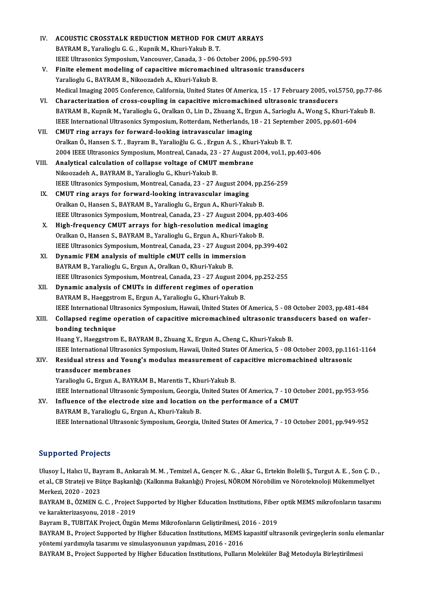| IV.                       | ACOUSTIC CROSSTALK REDUCTION METHOD FOR CMUT ARRAYS                                                                |
|---------------------------|--------------------------------------------------------------------------------------------------------------------|
|                           | BAYRAM B., Yaralioglu G. G., Kupnik M., Khuri-Yakub B. T.                                                          |
|                           | IEEE Ultrasonics Symposium, Vancouver, Canada, 3 - 06 October 2006, pp.590-593                                     |
| V.                        | Finite element modeling of capacitive micromachined ultrasonic transducers                                         |
|                           | Yaralioglu G., BAYRAM B., Nikoozadeh A., Khuri-Yakub B.                                                            |
|                           | Medical Imaging 2005 Conference, California, United States Of America, 15 - 17 February 2005, vol.5750, pp.77-86   |
| VI.                       | Characterization of cross-coupling in capacitive micromachined ultrasonic transducers                              |
|                           | BAYRAM B., Kupnik M., Yaralioglu G., Oralkan O., Lin D., Zhuang X., Ergun A., Sarioglu A., Wong S., Khuri-Yakub B. |
|                           | IEEE International Ultrasonics Symposium, Rotterdam, Netherlands, 18 - 21 September 2005, pp.601-604               |
| VII.                      | CMUT ring arrays for forward-looking intravascular imaging                                                         |
|                           | Oralkan Ö., Hansen S. T., Bayram B., Yaralioğlu G. G., Ergun A. S., Khuri-Yakub B. T.                              |
|                           | 2004 IEEE Ultrasonics Symposium, Montreal, Canada, 23 - 27 August 2004, vol.1, pp.403-406                          |
| VIII.                     | Analytical calculation of collapse voltage of CMUT membrane                                                        |
|                           | Nikoozadeh A., BAYRAM B., Yaralioglu G., Khuri-Yakub B.                                                            |
|                           | IEEE Ultrasonics Symposium, Montreal, Canada, 23 - 27 August 2004, pp.256-259                                      |
| IX.                       | CMUT ring arays for forward-looking intravascular imaging                                                          |
|                           | Oralkan O., Hansen S., BAYRAM B., Yaralioglu G., Ergun A., Khuri-Yakub B.                                          |
|                           | IEEE Ultrasonics Symposium, Montreal, Canada, 23 - 27 August 2004, pp.403-406                                      |
| Х.                        | High-frequency CMUT arrays for high-resolution medical imaging                                                     |
|                           | Oralkan O., Hansen S., BAYRAM B., Yaralioglu G., Ergun A., Khuri-Yakob B.                                          |
|                           | IEEE Ultrasonics Symposium, Montreal, Canada, 23 - 27 August 2004, pp.399-402                                      |
| XI.                       | Dynamic FEM analysis of multiple cMUT cells in immersion                                                           |
|                           | BAYRAM B., Yaralioglu G., Ergun A., Oralkan O., Khuri-Yakub B.                                                     |
|                           | IEEE Ultrasonics Symposium, Montreal, Canada, 23 - 27 August 2004, pp.252-255                                      |
| XII.                      | Dynamic analysis of CMUTs in different regimes of operation                                                        |
|                           | BAYRAM B., Haeggstrom E., Ergun A., Yaralioglu G., Khuri-Yakub B.                                                  |
|                           | IEEE International Ultrasonics Symposium, Hawaii, United States Of America, 5 - 08 October 2003, pp.481-484        |
| XIII.                     | Collapsed regime operation of capacitive micromachined ultrasonic transducers based on wafer-                      |
|                           | bonding technique                                                                                                  |
|                           | Huang Y., Haeggstrom E., BAYRAM B., Zhuang X., Ergun A., Cheng C., Khuri-Yakub B.                                  |
|                           | IEEE International Ultrasonics Symposium, Hawaii, United States Of America, 5 - 08 October 2003, pp.1161-1164      |
| XIV.                      | Residual stress and Young's modulus measurement of capacitive micromachined ultrasonic                             |
|                           | transducer membranes                                                                                               |
|                           | Yaralioglu G., Ergun A., BAYRAM B., Marentis T., Khuri-Yakub B.                                                    |
|                           | IEEE International Ultrasonic Symposium, Georgia, United States Of America, 7 - 10 October 2001, pp.953-956        |
| XV.                       | Influence of the electrode size and location on the performance of a CMUT                                          |
|                           | BAYRAM B., Yaralioglu G., Ergun A., Khuri-Yakub B.                                                                 |
|                           | IEEE International Ultrasonic Symposium, Georgia, United States Of America, 7 - 10 October 2001, pp.949-952        |
|                           |                                                                                                                    |
| <b>Supported Projects</b> |                                                                                                                    |

Ulusoy İ., Halıcı U., Bayram B., Ankaralı M. M. , Temizel A., Gençer N. G. , Akar G., Ertekin Bolelli Ş., Turgut A. E. , Son Ç. D. , eta pest estal., Cyseles<br>Ulusoy İ., Halıcı U., Bayram B., Ankaralı M. M. , Temizel A., Gençer N. G. , Akar G., Ertekin Bolelli Ş., Turgut A. E. , Son Ç. D.<br>et al., CB Strateji ve Bütçe Başkanlığı (Kalkınma Bakanlığı) Proje Ulusoy İ., Halıcı U., Bay<br>et al., CB Strateji ve Bü<br>Merkezi, 2020 - 2023<br>BAYBAM B., ÖZMEN C et al., CB Strateji ve Bütçe Başkanlığı (Kalkınma Bakanlığı) Projesi, NÖROM Nörobilim ve Nöroteknoloji Mükemmeliyet<br>Merkezi, 2020 - 2023<br>BAYRAM B., ÖZMEN G. C. , Project Supported by Higher Education Institutions, Fiber op

Merkezi, 2020 - 2023<br>BAYRAM B., ÖZMEN G. C. , Project :<br>ve karakterizasyonu, 2018 - 2019<br>Bayram B., TUBITAK Broject, Özgü BAYRAM B., ÖZMEN G. C. , Project Supported by Higher Education Institutions, Fiber<br>ve karakterizasyonu, 2018 - 2019<br>Bayram B., TUBITAK Project, Özgün Mems Mikrofonların Geliştirilmesi, 2016 - 2019<br>BAYRAM B. Project Support

ve karakterizasyonu, 2018 - 2019<br>Bayram B., TUBITAK Project, Özgün Mems Mikrofonların Geliştirilmesi, 2016 - 2019<br>BAYRAM B., Project Supported by Higher Education Institutions, MEMS kapasitif ultrasonik çevirgeçlerin sonlu Bayram B., TUBITAK Project, Özgün Mems Mikrofonların Geliştirilmesi, 2016 - 2019<br>BAYRAM B., Project Supported by Higher Education Institutions, MEMS kapasitif ultrasonik çevirgeçlerin sonlu ele<br>yöntemi yardımıyla tasarımı BAYRAM B., Project Supported by Higher Education Institutions, MEMS kapasitif ultrasonik çevirgeçlerin sonlu ele<br>yöntemi yardımıyla tasarımı ve simulasyonunun yapılması, 2016 - 2016<br>BAYRAM B., Project Supported by Higher E